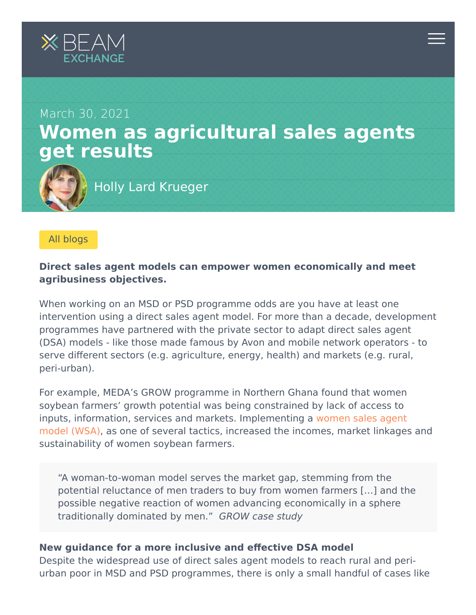



### [All blogs](https://beamexchange.org/community/blogs/)

# **Direct sales agent models can empower women economically and meet agribusiness objectives.**

When working on an MSD or PSD programme odds are you have at least one intervention using a direct sales agent model. For more than a decade, development programmes have partnered with the private sector to adapt direct sales agent (DSA) models - like those made famous by Avon and mobile network operators - to serve different sectors (e.g. agriculture, energy, health) and markets (e.g. rural, peri-urban).

For example, MEDA's GROW programme in Northern Ghana found that women soybean farmers' growth potential was being constrained by lack of access to [inputs, information, services and markets. Implementing a women sales agent](https://beamexchange.org/resources/1477/) model (WSA), as one of several tactics, increased the incomes, market linkages and sustainability of women soybean farmers.

"A woman-to-woman model serves the market gap, stemming from the potential reluctance of men traders to buy from women farmers […] and the possible negative reaction of women advancing economically in a sphere traditionally dominated by men." GROW case study

## **New guidance for a more inclusive and effective DSA model**

Despite the widespread use of direct sales agent models to reach rural and periurban poor in MSD and PSD programmes, there is only a small handful of cases like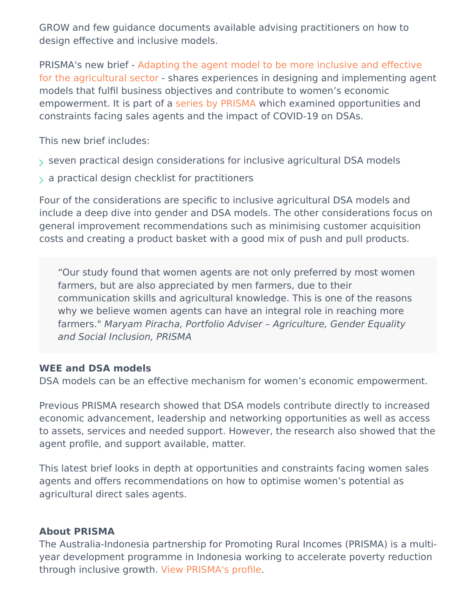GROW and few guidance documents available advising practitioners on how to design effective and inclusive models.

PRISMA's new brief - Adapting the agent model to be more inclusive and effective [for the agricultural sector - shares experiences in designing and implementing age](https://beamexchange.org/resources/1476/)nt models that fulfil business objectives and contribute to women's economic empowerment. It is part of a [series by PRISMA](https://beamexchange.org/resources/1409/) which examined opportunities and constraints facing sales agents and the impact of COVID-19 on DSAs.

This new brief includes:

- $\rightarrow$  seven practical design considerations for inclusive agricultural DSA models
- $>$  a practical design checklist for practitioners

Four of the considerations are specific to inclusive agricultural DSA models and include a deep dive into gender and DSA models. The other considerations focus on general improvement recommendations such as minimising customer acquisition costs and creating a product basket with a good mix of push and pull products.

"Our study found that women agents are not only preferred by most women farmers, but are also appreciated by men farmers, due to their communication skills and agricultural knowledge. This is one of the reasons why we believe women agents can have an integral role in reaching more farmers." Maryam Piracha, Portfolio Adviser – Agriculture, Gender Equality and Social Inclusion, PRISMA

## **WEE and DSA models**

DSA models can be an effective mechanism for women's economic empowerment.

Previous PRISMA research showed that DSA models contribute directly to increased economic advancement, leadership and networking opportunities as well as access to assets, services and needed support. However, the research also showed that the agent profile, and support available, matter.

This latest brief looks in depth at opportunities and constraints facing women sales agents and offers recommendations on how to optimise women's potential as agricultural direct sales agents.

### **About PRISMA**

The Australia-Indonesia partnership for Promoting Rural Incomes (PRISMA) is a multiyear development programme in Indonesia working to accelerate poverty reduction through inclusive growth. [View PRISMA's profile.](https://beamexchange.org/practice/programme-index/275/)